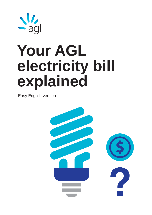

# **Your AGL electricity bill explained**

Easy English version

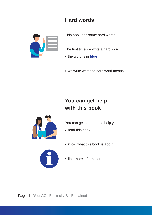## **Hard words**



This book has some hard words.

The first time we write a hard word

- the word is in **blue**
- we write what the hard word means.

# **You can get help with this book**



You can get someone to help you

- read this book
- know what this book is about



• find more information.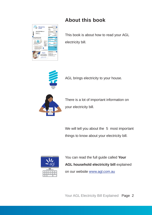

## **About this book**

This book is about how to read your AGL electricity bill.



AGL brings electricity to your house.



There is a lot of important information on your electricity bill.

We will tell you about the 5 most important things to know about your electricity bill.



You can read the full guide called **Your AGL household electricity bill explained** on our website www.agl.com.au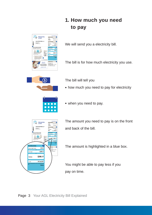# **1. How much you need to pay**



We will send you a electricity bill.

The bill is for how much electricity you use.



The bill will tell you

• how much you need to pay for electricity



• when you need to pay.



The amount you need to pay is on the front and back of the bill.

The amount is highlighted in a blue box.

You might be able to pay less if you pay on time.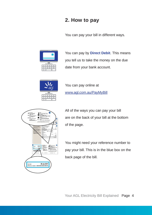### **2. How to pay**

You can pay your bill in different ways.



You can pay by **Direct Debit**. This means you tell us to take the money on the due date from your bank account.



You can pay online at www.agl.com.au/PayMyBill



All of the ways you can pay your bill are on the back of your bill at the bottom of the page.

You might need your reference number to pay your bill. This is in the blue box on the back page of the bill.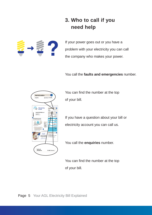## **3. Who to call if you need help**



If your power goes out or you have a problem with your electricity you can call the company who makes your power.

You call the **faults and emergencies** number.



You can find the number at the top of your bill.

If you have a question about your bill or electricity account you can call us.

You call the **enquiries** number.

You can find the number at the top of your bill.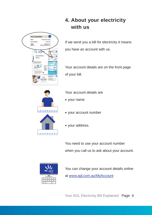

**4. About your electricity with us**

If we send you a bill for electricity it means you have an account with us.

Your account details are on the front page of your bill.



Your account details are

- your name
- your account number
- your address.

You need to use your account number when you call us to ask about your account.



You can change your account details online at www.agl.com.au/MyAccount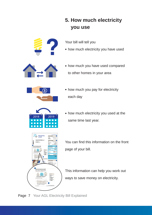# **5. How much electricity you use**



- Your bill will tell you
- how much electricity you have used



• how much you have used compared to other homes in your area



• how much you pay for electricity each day



• how much electricity you used at the same time last year.



You can find this information on the front page of your bill.

This information can help you work out ways to save money on electricity.

Page 7 Your AGL Electricity Bill Explained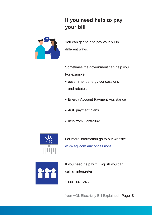# **If you need help to pay your bill**



You can get help to pay your bill in different ways.

Sometimes the government can help you For example

- government energy concessions and rebates
- Energy Account Payment Assistance
- AGL payment plans
- help from Centrelink.



For more information go to our website www.agl.com.au/concessions



If you need help with English you can call an interpreter

1300 307 245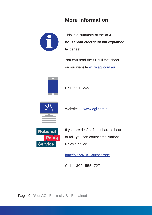### **More information**



This is a summary of the **AGL household electricity bill explained** fact sheet.

You can read the full full fact sheet on our website www.agl.com.au



Call 131 245



**National** 

**Service** 

**Relay** 

Website www.agl.com.au

If you are deaf or find it hard to hear or talk you can contact the National Relay Service.

http://bit.ly/NRSContactPage

Call 1300 555 727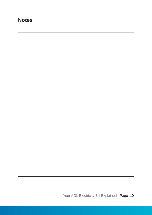#### **Notes**